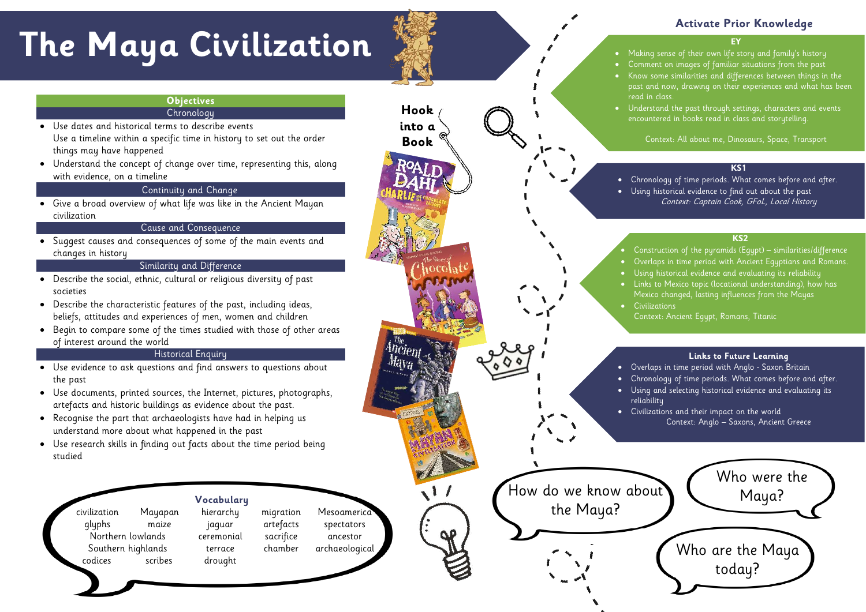• Making sense of their own life story and family's history • Comment on images of familiar situations from the past • Know some similarities and differences between things in the past and now, drawing on their experiences and what has been read in class.

• Understand the past through settings, characters and events encountered in books read in class and storytelling.

Context: All about me, Dinosaurs, Space, Transport

# **Activate Prior Knowledge**

## **KS1**

• Chronology of time periods. What comes before and after. • Using historical evidence to find out about the past Context: Captain Cook, GFoL, Local History

# **The Maya Civilization**

# **Objectives Chronology**

#### **KS2**

na ev<br>. • Links to Mexico topic (locational understanding), how has Mexico changed, lasting influences from the Mayas • Civilizations,  $\mathcal{C}_{\text{cutoff}}$  continents, rivers,  $\mathcal{C}_{\text{cutoff}}$ • Construction of the pyramids (Egypt) – similarities/difference • Overlaps in time period with Ancient Egyptians and Romans. • Using historical evidence and evaluating its reliability **Civilizations** 

Context: Ancient Egypt, Romans, Titanic

civilization Mayapan hierarchy migration Mesoamerice glyphs maize jaguar artefacts spectators Northern lowlands ceremonial sacrifice ancestor Southern highlands terrace chamber archaeological codices scribes drought

- Use dates and historical terms to describe events Use a timeline within a specific time in history to set out the order things may have happened
- Understand the concept of change over time, representing this, along with evidence, on a timeline

# Continuity and Change

• Give a broad overview of what life was like in the Ancient Mayan civilization

# Cause and Consequence

• Suggest causes and consequences of some of the main events and changes in history

the Maya? **Hook into a Book**

## Similarity and Difference



- Describe the social, ethnic, cultural or religious diversity of past societies
- Describe the characteristic features of the past, including ideas, beliefs, attitudes and experiences of men, women and children
- Begin to compare some of the times studied with those of other areas of interest around the world

# Historical Enquiry

- Use evidence to ask questions and find answers to questions about the past
- Use documents, printed sources, the Internet, pictures, photographs, artefacts and historic buildings as evidence about the past.
- Recognise the part that archaeologists have had in helping us understand more about what happened in the past
- Use research skills in finding out facts about the time period being studied

# **Vocabulary**

## **Links to Future Learning**

• Overlaps in time period with Anglo - Saxon Britain • Chronology of time periods. What comes before and after. • Using and selecting historical evidence and evaluating its reliability

• Civilizations and their impact on the world Context: Anglo – Saxons, Ancient Greece